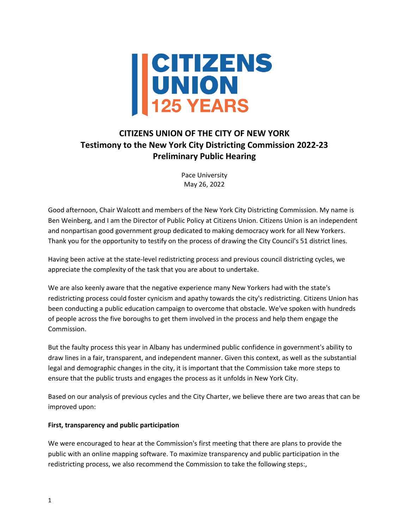

# **CITIZENS UNION OF THE CITY OF NEW YORK Testimony to the New York City Districting Commission 2022-23 Preliminary Public Hearing**

Pace University May 26, 2022

Good afternoon, Chair Walcott and members of the New York City Districting Commission. My name is Ben Weinberg, and I am the Director of Public Policy at Citizens Union. Citizens Union is an independent and nonpartisan good government group dedicated to making democracy work for all New Yorkers. Thank you for the opportunity to testify on the process of drawing the City Council's 51 district lines.

Having been active at the state-level redistricting process and previous council districting cycles, we appreciate the complexity of the task that you are about to undertake.

We are also keenly aware that the negative experience many New Yorkers had with the state's redistricting process could foster cynicism and apathy towards the city's redistricting. Citizens Union has been conducting a public education campaign to overcome that obstacle. We've spoken with hundreds of people across the five boroughs to get them involved in the process and help them engage the Commission.

But the faulty process this year in Albany has undermined public confidence in government's ability to draw lines in a fair, transparent, and independent manner. Given this context, as well as the substantial legal and demographic changes in the city, it is important that the Commission take more steps to ensure that the public trusts and engages the process as it unfolds in New York City.

Based on our analysis of previous cycles and the City Charter, we believe there are two areas that can be improved upon:

# **First, transparency and public participation**

We were encouraged to hear at the Commission's first meeting that there are plans to provide the public with an online mapping software. To maximize transparency and public participation in the redistricting process, we also recommend the Commission to take the following steps:,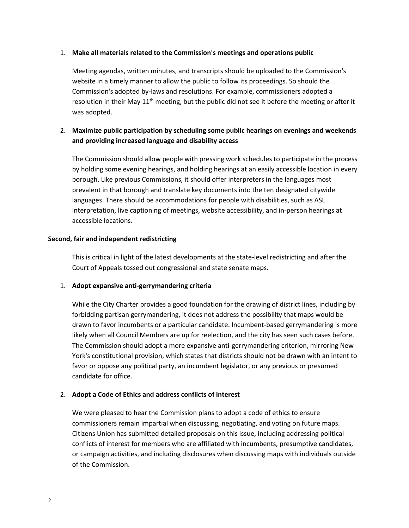## 1. **Make all materials related to the Commission's meetings and operations public**

Meeting agendas, written minutes, and transcripts should be uploaded to the Commission's website in a timely manner to allow the public to follow its proceedings. So should the Commission's adopted by-laws and resolutions. For example, commissioners adopted a resolution in their May  $11<sup>th</sup>$  meeting, but the public did not see it before the meeting or after it was adopted.

# 2. **Maximize public participation by scheduling some public hearings on evenings and weekends and providing increased language and disability access**

The Commission should allow people with pressing work schedules to participate in the process by holding some evening hearings, and holding hearings at an easily accessible location in every borough. Like previous Commissions, it should offer interpreters in the languages most prevalent in that borough and translate key documents into the ten designated citywide languages. There should be accommodations for people with disabilities, such as ASL interpretation, live captioning of meetings, website accessibility, and in-person hearings at accessible locations.

#### **Second, fair and independent redistricting**

This is critical in light of the latest developments at the state-level redistricting and after the Court of Appeals tossed out congressional and state senate maps.

## 1. **Adopt expansive anti-gerrymandering criteria**

While the City Charter provides a good foundation for the drawing of district lines, including by forbidding partisan gerrymandering, it does not address the possibility that maps would be drawn to favor incumbents or a particular candidate. Incumbent-based gerrymandering is more likely when all Council Members are up for reelection, and the city has seen such cases before. The Commission should adopt a more expansive anti-gerrymandering criterion, mirroring New York's constitutional provision, which states that districts should not be drawn with an intent to favor or oppose any political party, an incumbent legislator, or any previous or presumed candidate for office.

## 2. **Adopt a Code of Ethics and address conflicts of interest**

We were pleased to hear the Commission plans to adopt a code of ethics to ensure commissioners remain impartial when discussing, negotiating, and voting on future maps. Citizens Union has submitted detailed proposals on this issue, including addressing political conflicts of interest for members who are affiliated with incumbents, presumptive candidates, or campaign activities, and including disclosures when discussing maps with individuals outside of the Commission.